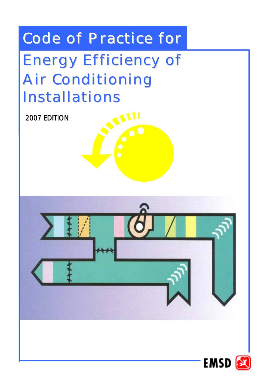# Code of Practice for

# Energy Efficiency of Air Conditioning **Installations**

2007 EDITION



**WI** 

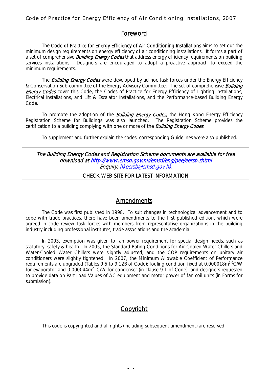## Foreword

The Code of Practice for Energy Efficiency of Air Conditioning Installations aims to set out the minimum design requirements on energy efficiency of air conditioning installations. It forms a part of a set of comprehensive **Building Energy Codes** that address energy efficiency requirements on building services installations. Designers are encouraged to adopt a proactive approach to exceed the minimum requirements.

The **Building Energy Codes** were developed by ad hoc task forces under the Energy Efficiency & Conservation Sub-committee of the Energy Advisory Committee. The set of comprehensive **Building Energy Codes** cover this Code, the Codes of Practice for Energy Efficiency of Lighting Installations, Electrical Installations, and Lift & Escalator Installations, and the Performance-based Building Energy Code.

To promote the adoption of the **Building Energy Codes**, the Hong Kong Energy Efficiency Registration Scheme for Buildings was also launched. The Registration Scheme provides the certification to a building complying with one or more of the **Building Energy Codes**.

To supplement and further explain the codes, corresponding Guidelines were also published.

## Enquiry: <u>hkeersb@emsd.gov.hk</u> The Building Energy Codes and Registration Scheme documents are available for free download at http://www.emsd.gov.hk/emsd/eng/pee/eersb.shtml

## CHECK WEB-SITE FOR LATEST INFORMATION

## **Amendments**

The Code was first published in 1998. To suit changes in technological advancement and to cope with trade practices, there have been amendments to the first published edition, which were agreed in code review task forces with members from representative organizations in the building industry including professional institutes, trade associations and the academia.

In 2003, exemption was given to fan power requirement for special design needs, such as statutory, safety & health. In 2005, the Standard Rating Conditions for Air-Cooled Water Chillers and Water-Cooled Water Chillers were slightly adjusted, and the COP requirements on unitary air conditioners were slightly tightened. In 2007, the Minimum Allowable Coefficient of Performance requirements are upgraded (Tables 9.5 to 9.12B of Code); fouling condition fixed at 0.000018m<sup>2 o</sup>C/W for evaporator and  $0.000044m^2$ <sup>o</sup>C/W for condenser (in clause 9.1 of Code); and designers requested to provide data on Part Load Values of AC equipment and motor power of fan coil units (in Forms for submission).

## Copyright

This code is copyrighted and all rights (including subsequent amendment) are reserved.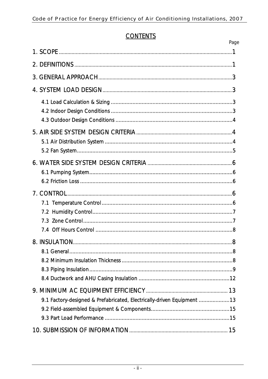## **CONTENTS**

|                                                                        | Page |
|------------------------------------------------------------------------|------|
|                                                                        |      |
|                                                                        |      |
|                                                                        |      |
|                                                                        |      |
|                                                                        |      |
|                                                                        |      |
|                                                                        |      |
|                                                                        |      |
|                                                                        |      |
| 9.1 Factory-designed & Prefabricated, Electrically-driven Equipment 13 |      |
|                                                                        |      |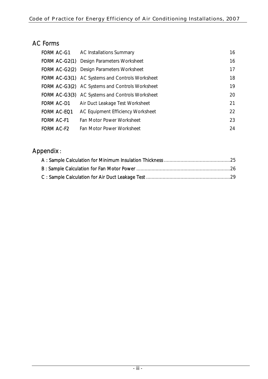## AC Forms

| FORM AC-G1         | AC Installations Summary                               | 16 |
|--------------------|--------------------------------------------------------|----|
|                    | <b>FORM AC-G2(1)</b> Design Parameters Worksheet       | 16 |
| FORM AC-G2(2)      | Design Parameters Worksheet                            | 17 |
|                    | <b>FORM AC-G3(1)</b> AC Systems and Controls Worksheet | 18 |
|                    | <b>FORM AC-G3(2)</b> AC Systems and Controls Worksheet | 19 |
|                    | <b>FORM AC-G3(3)</b> AC Systems and Controls Worksheet | 20 |
| FORM AC-D1         | Air Duct Leakage Test Worksheet                        | 21 |
| <b>FORM AC-EQ1</b> | AC Equipment Efficiency Worksheet                      | 22 |
| <b>FORM AC-F1</b>  | Fan Motor Power Worksheet                              | 23 |
| <b>FORM AC-F2</b>  | Fan Motor Power Worksheet                              | 24 |

# Appendix :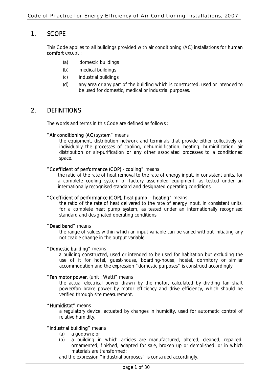## 1. SCOPE

This Code applies to all buildings provided with air conditioning (AC) installations for **human** comfort except :

- (a) domestic buildings
- (b) medical buildings
- (c) industrial buildings
- (d) any area or any part of the building which is constructed, used or intended to be used for domestic, medical or industrial purposes.

## 2. DEFINITIONS

The words and terms in this Code are defined as follows :

## "Air conditioning (AC) system" means

the equipment, distribution network and terminals that provide either collectively or individually the processes of cooling, dehumidification, heating, humidification, air distribution or air-purification or any other associated processes to a conditioned space.

## "Coefficient of performance (COP) - cooling" means

the ratio of the rate of heat removal to the rate of energy input, in consistent units, for a complete cooling system or factory assembled equipment, as tested under an internationally recognised standard and designated operating conditions.

## "Coefficient of performance (COP), heat pump - heating" means

the ratio of the rate of heat delivered to the rate of energy input, in consistent units, for a complete heat pump system, as tested under an internationally recognised standard and designated operating conditions.

## "Dead band" means

the range of values within which an input variable can be varied without initiating any noticeable change in the output variable.

## "Domestic building" means

a building constructed, used or intended to be used for habitation but excluding the use of it for hotel, guest-house, boarding-house, hostel, dormitory or similar accommodation and the expression "domestic purposes" is construed accordingly.

## "Fan motor power, (unit : Watt)" means

the actual electrical power drawn by the motor, calculated by dividing fan shaft power/fan brake power by motor efficiency and drive efficiency, which should be verified through site measurement.

## "Humidistat" means

a regulatory device, actuated by changes in humidity, used for automatic control of relative humidity.

## "Industrial building" means

- (a) a godown; or
- (b) a building in which articles are manufactured, altered, cleaned, repaired, ornamented, finished, adapted for sale, broken up or demolished, or in which materials are transformed;

and the expression "industrial purposes" is construed accordingly.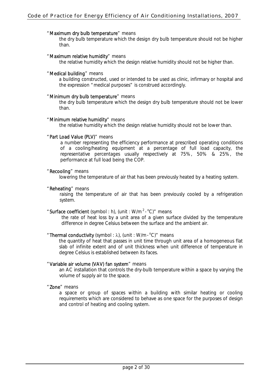#### "Maximum dry bulb temperature" means

the dry bulb temperature which the design dry bulb temperature should not be higher than.

#### "Maximum relative humidity" means

the relative humidity which the design relative humidity should not be higher than.

#### "Medical building" means

a building constructed, used or intended to be used as clinic, infirmary or hospital and the expression "medical purposes" is construed accordingly.

#### "Minimum dry bulb temperature" means

the dry bulb temperature which the design dry bulb temperature should not be lower than.

#### "Minimum relative humidity" means

the relative humidity which the design relative humidity should not be lower than.

#### "Part Load Value (PLV)" means

a number representing the efficiency performance at prescribed operating conditions of a cooling/heating equipment at a percentage of full load capacity, the representative percentages usually respectively at 75%, 50% & 25%, the performance at full load being the COP.

#### "Recooling" means

lowering the temperature of air that has been previously heated by a heating system.

#### "Reheating" means

raising the temperature of air that has been previously cooled by a refrigeration system.

## "Surface coefficient (symbol : h), (unit : W/m<sup>2</sup>· °C)" means

the rate of heat loss by a unit area of a given surface divided by the temperature difference in degree Celsius between the surface and the ambient air.

## " Thermal conductivity (symbol : λ), (unit : W/m·°C)" means

the quantity of heat that passes in unit time through unit area of a homogeneous flat slab of infinite extent and of unit thickness when unit difference of temperature in degree Celsius is established between its faces.

#### "Variable air volume (VAV) fan system" means

an AC installation that controls the dry-bulb temperature within a space by varying the volume of supply air to the space.

"Zone" means

a space or group of spaces within a building with similar heating or cooling requirements which are considered to behave as one space for the purposes of design and control of heating and cooling system.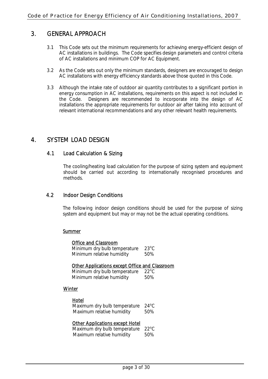## 3. GENERAL APPROACH

- 3.1 This Code sets out the minimum requirements for achieving energy-efficient design of AC installations in buildings. The Code specifies design parameters and control criteria of AC installations and minimum COP for AC Equipment.
- 3.2 As the Code sets out only the minimum standards, designers are encouraged to design AC installations with energy efficiency standards above those quoted in this Code.
- 3.3 Although the intake rate of outdoor air quantity contributes to a significant portion in energy consumption in AC installations, requirements on this aspect is not included in the Code. Designers are recommended to incorporate into the design of AC installations the appropriate requirements for outdoor air after taking into account of relevant international recommendations and any other relevant health requirements.

## 4. SYSTEM LOAD DESIGN

## 4.1 Load Calculation & Sizing

The cooling/heating load calculation for the purpose of sizing system and equipment should be carried out according to internationally recognised procedures and methods.

## 4.2 Indoor Design Conditions

The following indoor design conditions should be used for the purpose of sizing system and equipment but may or may not be the actual operating conditions.

## **Summer**

| <b>Office and Classroom</b>                           |                |
|-------------------------------------------------------|----------------|
| Minimum dry bulb temperature                          | $23^{\circ}$ C |
| Minimum relative humidity                             | 50%            |
| <b>Other Applications except Office and Classroom</b> |                |
| Minimum dry bulb temperature                          | $22^{\circ}$ C |
| Minimum relative humidity                             | 50%            |
| Winter                                                |                |
| Hotel                                                 |                |
| Maximum dry bulb temperature                          | $24^{\circ}$ C |
| Maximum relative humidity                             | 50%            |
| <b>Other Applications except Hotel</b>                |                |
| Maximum dry bulb temperature                          | $22^{\circ}$ C |
| Maximum relative humidity                             | 50%            |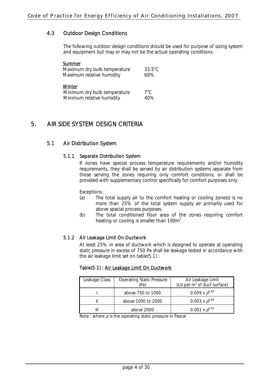## 4.3 Outdoor Design Conditions

 The following outdoor design conditions should be used for purpose of sizing system and equipment but may or may not be the actual operating conditions.

| Summer                       |                  |
|------------------------------|------------------|
| Maximum dry bulb temperature | $33.5^{\circ}$ C |
| Maximum relative humidity    | 68%              |
| Winter                       |                  |
| Minimum dry bulb temperature | $7^{\circ}$ C.   |
| Minimum relative humidity    | 40%              |

## 5. AIR SIDE SYSTEM DESIGN CRITERIA

## 5.1 Air Distribution System

## 5.1.1 Separate Distribution System

 If zones have special process temperature requirements and/or humidity requirements, they shall be served by air distribution systems separate from those serving the zones requiring only comfort conditions; or shall be provided with supplementary control specifically for comfort purposes only.

Exceptions :

- (a) The total supply air to the comfort heating or cooling zone(s) is no more than 25% of the total system supply air primarily used for above special process purposes.
- (b) The total conditioned floor area of the zones requiring comfort heating or cooling is smaller than 100 $m^2$ .

## 5.1.2 Air Leakage Limit On Ductwork

At least 25% in area of ductwork which is designed to operate at operating static pressure in excess of 750 Pa shall be leakage tested in accordance with the air leakage limit set on table(5.1) :

## Table(5.1) : Air Leakage Limit On Ductwork

| Leakage Class | <b>Operating Static Pressure</b><br>'Paì | Air Leakage Limit<br>(L/s per $m^2$ of duct surface) |
|---------------|------------------------------------------|------------------------------------------------------|
|               | above 750 to 1000                        | 0.009 x $p^{0.65}$                                   |
|               | above 1000 to 2000                       | 0.003 x $p^{0.65}$                                   |
|               | above 2000                               | 0.001 x $p^{0.65}$                                   |

Note : where  $\rho$  is the operating static pressure in Pascal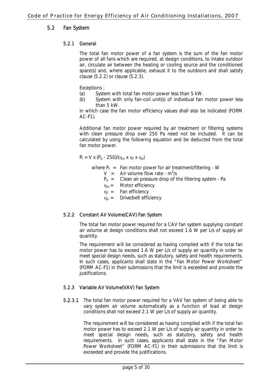## 5.2 Fan System

## 5.2.1 General

The total fan motor power of a fan system is the sum of the fan motor power of all fans which are required, at design conditions, to intake outdoor air, circulate air between the heating or cooling source and the conditioned space(s) and, where applicable, exhaust it to the outdoors and shall satisfy clause (5.2.2) or clause (5.2.3).

Exceptions :

- (a) System with total fan motor power less than 5 kW.
- (b) System with only fan-coil unit(s) of individual fan motor power less than 5 kW.

in which case the fan motor efficiency values shall also be indicated (FORM AC-F1).

Additional fan motor power required by air treatment or filtering systems with clean pressure drop over 250 Pa need not be included. It can be calculated by using the following equation and be deducted from the total fan motor power.

$$
P_f = V \times (P_d - 250) / (\eta_m \times \eta_f \times \eta_d)
$$

where  $P_f$  = Fan motor power for air treatment/filtering - W

- $V =$  Air volume flow rate  $m^3/s$ 
	- $P_d$  = Clean air pressure drop of the filtering system Pa
	- $\eta_m =$  Motor efficiency
	- $\eta_f$  = Fan efficiency
	- $\eta_d$  = Drive/belt efficiency

## 5.2.2 Constant Air Volume(CAV) Fan System

The total fan motor power required for a CAV fan system supplying constant air volume at design conditions shall not exceed 1.6 W per L/s of supply air quantity.

The requirement will be considered as having complied with if the total fan motor power has to exceed 1.6 W per L/s of supply air quantity in order to meet special design needs, such as statutory, safety and health requirements. In such cases, applicants shall state in the "Fan Motor Power Worksheet" (FORM AC-F1) in their submissions that the limit is exceeded and provide the justifications.

## 5.2.3 Variable Air Volume(VAV) Fan System

5.2.3.1 The total fan motor power required for a VAV fan system of being able to vary system air volume automatically as a function of load at design conditions shall not exceed 2.1 W per L/s of supply air quantity.

> The requirement will be considered as having complied with if the total fan motor power has to exceed 2.1 W per L/s of supply air quantity in order to meet special design needs, such as statutory, safety and health requirements. In such cases, applicants shall state in the "Fan Motor Power Worksheet" (FORM AC-F1) in their submissions that the limit is exceeded and provide the justifications.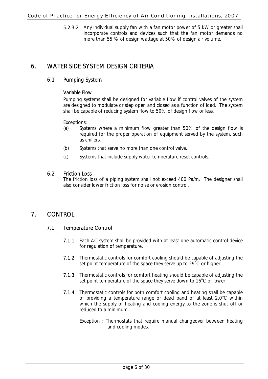## Code of Practice for Energy Efficiency of Air Conditioning Installations, 2007

5.2.3.2 Any individual supply fan with a fan motor power of 5 kW or greater shall incorporate controls and devices such that the fan motor demands no more than 55 % of design wattage at 50% of design air volume.

## 6. WATER SIDE SYSTEM DESIGN CRITERIA

## 6.1 Pumping System

## Variable Flow

Pumping systems shall be designed for variable flow if control valves of the system are designed to modulate or step open and closed as a function of load. The system shall be capable of reducing system flow to 50% of design flow or less.

Exceptions:

- (a) Systems where a minimum flow greater than 50% of the design flow is required for the proper operation of equipment served by the system, such as chillers.
- (b) Systems that serve no more than one control valve.
- (c) Systems that include supply water temperature reset controls.

## 6.2 Friction Loss

 The friction loss of a piping system shall not exceed 400 Pa/m. The designer shall also consider lower friction loss for noise or erosion control.

## 7. CONTROL

## 7.1 Temperature Control

- 7.1.1 Each AC system shall be provided with at least one automatic control device for regulation of temperature.
- 7.1.2 Thermostatic controls for comfort cooling should be capable of adjusting the set point temperature of the space they serve up to  $29^{\circ}$ C or higher.
- 7.1.3 Thermostatic controls for comfort heating should be capable of adjusting the set point temperature of the space they serve down to  $16^{\circ}$ C or lower.
- 7.1.4 Thermostatic controls for both comfort cooling and heating shall be capable of providing a temperature range or dead band of at least  $2.0^{\circ}$ C within which the supply of heating and cooling energy to the zone is shut off or reduced to a minimum.
	- Exception : Thermostats that require manual changeover between heating and cooling modes.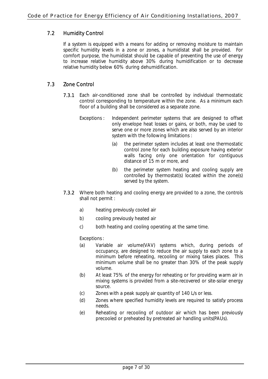## 7.2 Humidity Control

If a system is equipped with a means for adding or removing moisture to maintain specific humidity levels in a zone or zones, a humidistat shall be provided. For comfort purpose, the humidistat should be capable of preventing the use of energy to increase relative humidity above 30% during humidification or to decrease relative humidity below 60% during dehumidification.

## 7.3 Zone Control

- 7.3.1 Each air-conditioned zone shall be controlled by individual thermostatic control corresponding to temperature within the zone. As a minimum each floor of a building shall be considered as a separate zone.
	- Exceptions : Independent perimeter systems that are designed to offset only envelope heat losses or gains, or both, may be used to serve one or more zones which are also served by an interior system with the following limitations :
		- (a) the perimeter system includes at least one thermostatic control zone for each building exposure having exterior walls facing only one orientation for contiguous distance of 15 m or more, and
		- (b) the perimeter system heating and cooling supply are controlled by thermostat(s) located within the zone(s) served by the system.
- 7.3.2 Where both heating and cooling energy are provided to a zone, the controls shall not permit :
	- a) heating previously cooled air
	- b) cooling previously heated air
	- c) both heating and cooling operating at the same time.

Exceptions:

- (a) Variable air volume(VAV) systems which, during periods of occupancy, are designed to reduce the air supply to each zone to a minimum before reheating, recooling or mixing takes places. This minimum volume shall be no greater than 30% of the peak supply volume.
- (b) At least 75% of the energy for reheating or for providing warm air in mixing systems is provided from a site-recovered or site-solar energy source.
- (c) Zones with a peak supply air quantity of 140 L/s or less.
- (d) Zones where specified humidity levels are required to satisfy process needs.
- (e) Reheating or recooling of outdoor air which has been previously precooled or preheated by pretreated air handling units(PAUs).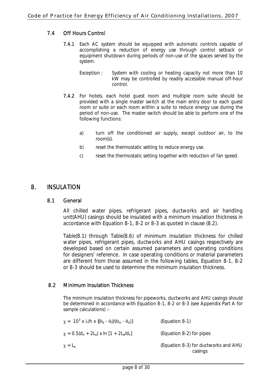## 7.4 Off Hours Control

- 7.4.1 Each AC system should be equipped with automatic controls capable of accomplishing a reduction of energy use through control setback or equipment shutdown during periods of non-use of the spaces served by the system.
	- Exception : System with cooling or heating capacity not more than 10 kW may be controlled by readily accessible manual off-hour control.
- 7.4.2 For hotels, each hotel guest room and multiple room suite should be provided with a single master switch at the main entry door to each guest room or suite or each room within a suite to reduce energy use during the period of non-use. The master switch should be able to perform one of the following functions:
	- a) turn off the conditioned air supply, except outdoor air, to the room(s).
	- b) reset the thermostatic setting to reduce energy use.
	- c) reset the thermostatic setting together with reduction of fan speed.

## 8. INSULATION

## 8.1 General

All chilled water pipes, refrigerant pipes, ductworks and air handling unit(AHU) casings should be insulated with a minimum insulation thickness in accordance with Equation 8-1, 8-2 or 8-3 as quoted in clause (8.2).

Table(8.1) through Table(8.6) of minimum insulation thickness for chilled water pipes, refrigerant pipes, ductworks and AHU casings respectively are developed based on certain assumed parameters and operating conditions for designers' reference. In case operating conditions or material parameters are different from those assumed in the following tables, Equation 8-1, 8-2 or 8-3 should be used to determine the minimum insulation thickness.

## 8.2 Minimum Insulation Thickness

The minimum insulation thickness for pipeworks, ductworks and AHU casings should be determined in accordance with Equation 8-1, 8-2 or 8-3 (see Appendix Part A for sample calculations) :-

| $\chi = 10^3$ x $\lambda$ /h x {( $\theta$ <sub>d</sub> - $\theta$ <sub>l</sub> )/( $\theta$ <sub>m</sub> - $\theta$ <sub>d</sub> )} | (Equation 8-1)                                  |
|--------------------------------------------------------------------------------------------------------------------------------------|-------------------------------------------------|
| $\chi$ = 0.5(d <sub>o</sub> + 2L <sub>a</sub> ) x ln [1 + 2L <sub>a</sub> /d <sub>o</sub> ]                                          | (Equation 8-2) for pipes                        |
| $\chi$ = L <sub>a</sub>                                                                                                              | (Equation 8-3) for ductworks and AHU<br>casings |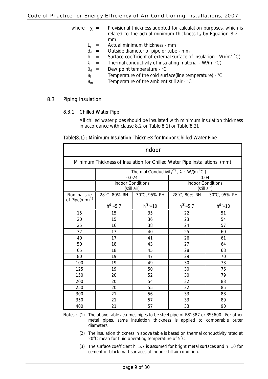## Code of Practice for Energy Efficiency of Air Conditioning Installations, 2007

- where  $\chi$  = Provisional thickness adopted for calculation purposes, which is related to the actual minimum thickness  $L_a$  by Equation 8-2. mm
	- $L_a$  = Actual minimum thickness mm
	- $d_0$  = Outside diameter of pipe or tube mm<br>  $h =$  Surface coefficient of external surface of
	- h = Surface coefficient of external surface of insulation W/( $m^2$  °C)
	- $\lambda$  = Thermal conductivity of insulating material W/(m °C)
	- $\theta_d$  = Dew point temperature  $^{\circ}C$
	- $\theta_1$  = Temperature of the cold surface(line temperature) <sup>o</sup>C
	- $\theta_{\rm m}$  = Temperature of the ambient still air <sup>o</sup>C

## 8.3 Piping Insulation

## 8.3.1 Chilled Water Pipe

All chilled water pipes should be insulated with minimum insulation thickness in accordance with clause 8.2 or Table(8.1) or Table(8.2).

## Table(8.1) : Minimum Insulation Thickness for Indoor Chilled Water Pipe

| Indoor                                                                    |                                         |                           |                                                             |                |  |  |  |
|---------------------------------------------------------------------------|-----------------------------------------|---------------------------|-------------------------------------------------------------|----------------|--|--|--|
| Minimum Thickness of Insulation for Chilled Water Pipe Installations (mm) |                                         |                           |                                                             |                |  |  |  |
|                                                                           |                                         |                           | Thermal Conductivity <sup>(2)</sup> , $\lambda$ - W/(m °C·) |                |  |  |  |
|                                                                           | 0.024                                   |                           | 0.04                                                        |                |  |  |  |
|                                                                           | <b>Indoor Conditions</b><br>(still air) |                           | <b>Indoor Conditions</b><br>(still air)                     |                |  |  |  |
| Nominal size<br>of Pipe $\text{(mm)}^{(1)}$                               |                                         | 28°C, 80% RH 30°C, 95% RH | 28°C, 80% RH                                                | 30°C, 95% RH   |  |  |  |
|                                                                           | $h^{(3)} = 5.7$                         | $\overline{h}^{(3)} = 10$ | $h^{(3)} = 5.7$                                             | $h^{(3)} = 10$ |  |  |  |
| 15                                                                        | 15                                      | 35                        | 22                                                          | 51             |  |  |  |
| 20                                                                        | 15                                      | 36                        | 23                                                          | 54             |  |  |  |
| 25                                                                        | 16<br>38                                |                           | 24                                                          | 57             |  |  |  |
| 32                                                                        | 17                                      | 40                        | 25                                                          | 60             |  |  |  |
| 40                                                                        | 17                                      | 41                        | 26                                                          | 61             |  |  |  |
| 50                                                                        | 18                                      | 43                        | 27                                                          | 64             |  |  |  |
| 65                                                                        | 18                                      | 45                        | 28                                                          | 68             |  |  |  |
| 80                                                                        | 19                                      | 47                        | 29                                                          | 70             |  |  |  |
| 100                                                                       | 19                                      | 49                        | 30                                                          | 73             |  |  |  |
| 125                                                                       | 19                                      | 50                        | 30                                                          | 76             |  |  |  |
| 150                                                                       | 20                                      | 52                        | 30                                                          | 79             |  |  |  |
| 200                                                                       | 20                                      | 54                        | 32                                                          | 83             |  |  |  |
| 250                                                                       | 20                                      | 55                        | 32                                                          | 85             |  |  |  |
| 300                                                                       | 21                                      | 56                        | 33                                                          | 88             |  |  |  |
| 350                                                                       | 21                                      | 57                        | 33                                                          | 89             |  |  |  |
| 400                                                                       | 21                                      | 57                        | 33                                                          | 90             |  |  |  |

Notes : (1) The above table assumes pipes to be steel pipe of BS1387 or BS3600. For other metal pipes, same insulation thickness is applied to comparable outer diameters.

- (2) The insulation thickness in above table is based on thermal conductivity rated at  $20^{\circ}$ C mean for fluid operating temperature of  $5^{\circ}$ C.
- (3) The surface coefficient h=5.7 is assumed for bright metal surfaces and h=10 for cement or black matt surfaces at indoor still air condition.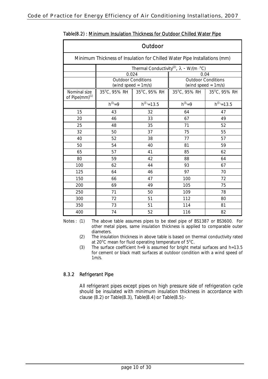| Outdoor                                                                   |                                                  |                  |                                                              |                                                  |  |  |  |
|---------------------------------------------------------------------------|--------------------------------------------------|------------------|--------------------------------------------------------------|--------------------------------------------------|--|--|--|
| Minimum Thickness of Insulation for Chilled Water Pipe Installations (mm) |                                                  |                  |                                                              |                                                  |  |  |  |
|                                                                           |                                                  |                  | Thermal Conductivity <sup>(2)</sup> , $\lambda$ - W/(m · °C) |                                                  |  |  |  |
|                                                                           | 0.024                                            |                  | 0.04                                                         |                                                  |  |  |  |
|                                                                           | <b>Outdoor Conditions</b><br>(wind speed = 1m/s) |                  |                                                              | <b>Outdoor Conditions</b><br>(wind speed = 1m/s) |  |  |  |
| Nominal size<br>of Pipe(mm) <sup>(1)</sup>                                | 35°C, 95% RH   35°C, 95% RH                      |                  | $35^{\circ}$ C, 95% RH                                       | $35^{\circ}$ C, 95% RH                           |  |  |  |
|                                                                           | $h^{(3)} = 9$                                    | $h^{(3)} = 13.5$ | $h^{(3)} = 9$                                                | $h^{(3)} = 13.5$                                 |  |  |  |
| 15                                                                        | 43                                               | 32               | 64                                                           | 47                                               |  |  |  |
| 20                                                                        | 46                                               | 33               | 67                                                           | 49                                               |  |  |  |
| 25                                                                        | 48                                               | 35               | 71                                                           | 52                                               |  |  |  |
| 32                                                                        | 50                                               | 37               | 75                                                           | 55                                               |  |  |  |
| 40                                                                        | 52                                               | 38               | 77                                                           | 57                                               |  |  |  |
| 50                                                                        | 54                                               | 40               | 81                                                           | 59                                               |  |  |  |
| 65                                                                        | 57                                               | 41               | 85                                                           | 62                                               |  |  |  |
| 80                                                                        | 59                                               | 42               | 88                                                           | 64                                               |  |  |  |
| 100                                                                       | 62                                               | 44               | 93                                                           | 67                                               |  |  |  |
| 125                                                                       | 64                                               | 46               | 97                                                           | 70                                               |  |  |  |
| 150                                                                       | 66                                               | 47               | 100                                                          | 72                                               |  |  |  |
| 200                                                                       | 69                                               | 49               | 105                                                          | 75                                               |  |  |  |
| 250                                                                       | 71                                               | 50               | 109                                                          | 78                                               |  |  |  |
| 300                                                                       | 72                                               | 51               | 112                                                          | 80                                               |  |  |  |
| 350                                                                       | 73                                               | 51               | 114                                                          | 81                                               |  |  |  |
| 400                                                                       | 74                                               | 52               | 116                                                          | 82                                               |  |  |  |

## Table(8.2) : Minimum Insulation Thickness for Outdoor Chilled Water Pipe

Notes : (1) The above table assumes pipes to be steel pipe of BS1387 or BS3600. For other metal pipes, same insulation thickness is applied to comparable outer diameters.

(2) The insulation thickness in above table is based on thermal conductivity rated at 20 $^{\circ}$ C mean for fluid operating temperature of  $5^{\circ}$ C.

(3) The surface coefficient h=9 is assumed for bright metal surfaces and h=13.5 for cement or black matt surfaces at outdoor condition with a wind speed of  $1m/s$ .

## 8.3.2 Refrigerant Pipe

All refrigerant pipes except pipes on high pressure side of refrigeration cycle should be insulated with minimum insulation thickness in accordance with clause (8.2) or Table(8.3), Table(8.4) or Table(8.5):-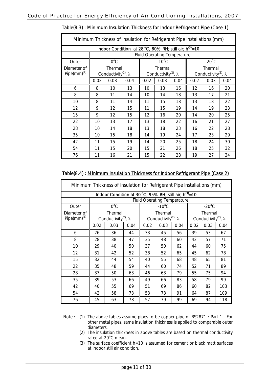| Minimum Thickness of Insulation for Refrigerant Pipe Installations (mm) |                                                    |               |                                                              |                                                    |                                    |      |                                                    |                 |      |
|-------------------------------------------------------------------------|----------------------------------------------------|---------------|--------------------------------------------------------------|----------------------------------------------------|------------------------------------|------|----------------------------------------------------|-----------------|------|
|                                                                         |                                                    |               | Indoor Condition at 28 °C, 80% RH; still air; $h^{(3)} = 10$ |                                                    |                                    |      |                                                    |                 |      |
|                                                                         |                                                    |               |                                                              |                                                    | <b>Fluid Operating Temperature</b> |      |                                                    |                 |      |
| Outer                                                                   |                                                    | $0^{\circ}$ C |                                                              |                                                    | $-10^{\circ}$ C                    |      |                                                    | $-20^{\circ}$ C |      |
| Diameter of<br>Pipe $\text{(mm)}^{(1)}$                                 | Thermal<br>Conductivity <sup>(2)</sup> , $\lambda$ |               |                                                              | Thermal<br>Conductivity <sup>(2)</sup> , $\lambda$ |                                    |      | Thermal<br>Conductivity <sup>(2)</sup> , $\lambda$ |                 |      |
|                                                                         | 0.02                                               | 0.03          | 0.04                                                         | 0.02                                               | 0.03                               | 0.04 | 0.02                                               | 0.03            | 0.04 |
| 6                                                                       | 8                                                  | 10            | 13                                                           | 10                                                 | 13                                 | 16   | 12                                                 | 16              | 20   |
| 8                                                                       | 8                                                  | 11            | 14                                                           | 10                                                 | 14                                 | 18   | 13                                                 | 17              | 21   |
| 10                                                                      | 8                                                  | 11            | 14                                                           | 11                                                 | 15                                 | 18   | 13                                                 | 18              | 22   |
| 12                                                                      | 9                                                  | 12            | 15                                                           | 11                                                 | 15                                 | 19   | 14                                                 | 19              | 23   |
| 15                                                                      | 9                                                  | 12            | 15                                                           | 12                                                 | 16                                 | 20   | 14                                                 | 20              | 25   |
| 22                                                                      | 10                                                 | 13            | 17                                                           | 13                                                 | 18                                 | 22   | 16                                                 | 21              | 27   |
| 28                                                                      | 10                                                 | 14            | 18                                                           | 13                                                 | 18                                 | 23   | 16                                                 | 22              | 28   |
| 35                                                                      | 10                                                 | 15            | 18                                                           | 14                                                 | 19                                 | 24   | 17                                                 | 23              | 29   |
| 42                                                                      | 11                                                 | 15            | 19                                                           | 14                                                 | 20                                 | 25   | 18                                                 | 24              | 30   |
| 54                                                                      | 11                                                 | 15            | 20                                                           | 15                                                 | 21                                 | 26   | 18                                                 | 25              | 32   |
| 76                                                                      | 11                                                 | 16            | 21                                                           | 15                                                 | 22                                 | 28   | 19                                                 | 27              | 34   |

## Table(8.3) : Minimum Insulation Thickness for Indoor Refrigerant Pipe (Case 1)

## Table(8.4) : Minimum Insulation Thickness for Indoor Refrigerant Pipe (Case 2)

| Minimum Thickness of Insulation for Refrigerant Pipe Installations (mm) |                                                              |                                         |      |                                    |                                         |      |      |                                         |      |
|-------------------------------------------------------------------------|--------------------------------------------------------------|-----------------------------------------|------|------------------------------------|-----------------------------------------|------|------|-----------------------------------------|------|
|                                                                         | Indoor Condition at 30 °C, 95% RH; still air; $h^{(3)} = 10$ |                                         |      |                                    |                                         |      |      |                                         |      |
|                                                                         |                                                              |                                         |      | <b>Fluid Operating Temperature</b> |                                         |      |      |                                         |      |
| Outer                                                                   |                                                              | $O^{\circ}C$                            |      |                                    | $-10^{\circ}$ C                         |      |      | $-20^{\circ}$ C                         |      |
| Diameter of                                                             |                                                              | Thermal                                 |      |                                    | Thermal                                 |      |      | Thermal                                 |      |
| Pipe $\text{(mm)}^{(1)}$                                                |                                                              | Conductivity <sup>(2)</sup> , $\lambda$ |      |                                    | Conductivity <sup>(2)</sup> , $\lambda$ |      |      | Conductivity <sup>(2)</sup> , $\lambda$ |      |
|                                                                         | 0.02                                                         | 0.03                                    | 0.04 | 0.02                               | 0.03                                    | 0.04 | 0.02 | 0.03                                    | 0.04 |
| 6                                                                       | 26                                                           | 36                                      | 44   | 33                                 | 45                                      | 56   | 39   | 53                                      | 67   |
| 8                                                                       | 28                                                           | 38                                      | 47   | 35                                 | 48                                      | 60   | 42   | 57                                      | 71   |
| 10                                                                      | 29                                                           | 40                                      | 50   | 37                                 | 50                                      | 62   | 44   | 60                                      | 75   |
| 12                                                                      | 31                                                           | 42                                      | 52   | 38                                 | 52                                      | 65   | 45   | 62                                      | 78   |
| 15                                                                      | 32                                                           | 44                                      | 54   | 40                                 | 55                                      | 68   | 48   | 65                                      | 81   |
| 22                                                                      | 35                                                           | 48                                      | 59   | 44                                 | 60                                      | 74   | 52   | 71                                      | 89   |
| 28                                                                      | 37                                                           | 50                                      | 63   | 46                                 | 63                                      | 79   | 55   | 75                                      | 94   |
| 35                                                                      | 39                                                           | 53                                      | 66   | 49                                 | 66                                      | 83   | 58   | 79                                      | 99   |
| 42                                                                      | 40                                                           | 55                                      | 69   | 51                                 | 69                                      | 86   | 60   | 82                                      | 103  |
| 54                                                                      | 42                                                           | 58                                      | 73   | 53                                 | 73                                      | 91   | 64   | 87                                      | 109  |
| 76                                                                      | 45                                                           | 63                                      | 78   | 57                                 | 79                                      | 99   | 69   | 94                                      | 118  |

Note : (1) The above tables assume pipes to be copper pipe of BS2871 : Part 1. For other metal pipes, same insulation thickness is applied to comparable outer diameters.

- (2) The insulation thickness in above tables are based on thermal conductivity rated at 20°C mean.
- (3) The surface coefficient h=10 is assumed for cement or black matt surfaces at indoor still air condition.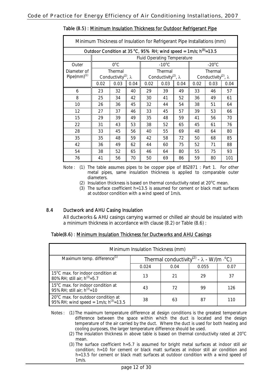|                          | Minimum Thickness of Insulation for Refrigerant Pipe Installations (mm)<br>Outdoor Condition at 35 °C, 95% RH; wind speed = 1m/s; $h^{(3)}$ =13.5 |                                                    |      |                                    |                                         |      |         |                                         |      |
|--------------------------|---------------------------------------------------------------------------------------------------------------------------------------------------|----------------------------------------------------|------|------------------------------------|-----------------------------------------|------|---------|-----------------------------------------|------|
|                          |                                                                                                                                                   |                                                    |      |                                    |                                         |      |         |                                         |      |
|                          |                                                                                                                                                   |                                                    |      | <b>Fluid Operating Temperature</b> |                                         |      |         |                                         |      |
| Outer                    |                                                                                                                                                   | $O^{\circ}C$<br>$-10^{\circ}$ C<br>$-20^{\circ}$ C |      |                                    |                                         |      |         |                                         |      |
| Diameter of              |                                                                                                                                                   | Thermal<br>Thermal                                 |      |                                    |                                         |      | Thermal |                                         |      |
| Pipe $\text{(mm)}^{(1)}$ |                                                                                                                                                   | Conductivity <sup>(2)</sup> , $\lambda$            |      |                                    | Conductivity <sup>(2)</sup> , $\lambda$ |      |         | Conductivity <sup>(2)</sup> , $\lambda$ |      |
|                          | 0.02                                                                                                                                              | 0.03                                               | 0.04 | 0.02                               | 0.03                                    | 0.04 | 0.02    | 0.03                                    | 0.04 |
| 6                        | 23                                                                                                                                                | 32                                                 | 40   | 29                                 | 39                                      | 49   | 33      | 46                                      | 57   |
| 8                        | 25                                                                                                                                                | 34                                                 | 42   | 30                                 | 41                                      | 52   | 36      | 49                                      | 61   |
| 10                       | 26                                                                                                                                                | 36                                                 | 45   | 32                                 | 44                                      | 54   | 38      | 51                                      | 64   |
| 12                       | 27                                                                                                                                                | 37                                                 | 46   | 33                                 | 45                                      | 57   | 39      | 53                                      | 66   |
| 15                       | 29                                                                                                                                                | 39                                                 | 49   | 35                                 | 48                                      | 59   | 41      | 56                                      | 70   |
| 22                       | 31                                                                                                                                                | 43                                                 | 53   | 38                                 | 52                                      | 65   | 45      | 61                                      | 76   |
| 28                       | 33                                                                                                                                                | 45                                                 | 56   | 40                                 | 55                                      | 69   | 48      | 64                                      | 80   |
| 35                       | 35                                                                                                                                                | 48                                                 | 59   | 42                                 | 58                                      | 72   | 50      | 68                                      | 85   |
| 42                       | 36                                                                                                                                                | 49                                                 | 62   | 44                                 | 60                                      | 75   | 52      | 71                                      | 88   |
| 54                       | 38                                                                                                                                                | 52                                                 | 65   | 46                                 | 64                                      | 80   | 55      | 75                                      | 93   |
| 76                       | 41                                                                                                                                                | 56                                                 | 70   | 50                                 | 69                                      | 86   | 59      | 80                                      | 101  |

## Table (8.5) : Minimum Insulation Thickness for Outdoor Refrigerant Pipe

Note : (1) The table assumes pipes to be copper pipe of BS2871 : Part 1. For other metal pipes, same insulation thickness is applied to comparable outer diameters.

- (2) Insulation thickness is based on thermal conductivity rated at  $20^{\circ}$ C mean.
- (3) The surface coefficient h=13.5 is assumed for cement or black matt surfaces at outdoor condition with a wind speed of 1m/s.

## 8.4 Ductwork and AHU Casing Insulation

All ductworks & AHU casings carrying warmed or chilled air should be insulated with a minimum thickness in accordance with clause (8.2) or Table (8.6) :

| Table(8.6): Minimum Insulation Thickness for Ductworks and AHU Casings |  |  |  |  |
|------------------------------------------------------------------------|--|--|--|--|
|                                                                        |  |  |  |  |

| Minimum Insulation Thickness (mm)                                                   |                                                              |      |       |      |
|-------------------------------------------------------------------------------------|--------------------------------------------------------------|------|-------|------|
| Maximum temp. difference <sup>(1)</sup>                                             | Thermal conductivity <sup>(2)</sup> - $\lambda$ - W/(m · °C) |      |       |      |
|                                                                                     | 0.024                                                        | 0.04 | 0.055 | 0.07 |
| 15 <sup>o</sup> C max, for indoor condition at<br>80%RH; still air; $h^{(3)} = 5.7$ | 13                                                           | 21   | 29    | 37   |
| 15°C max. for indoor condition at<br>95%RH; still air; $h^{(3)} = 10$               | 43                                                           | 72   | 99    | 126  |
| 20°C max. for outdoor condition at<br>95%RH; wind speed = $1m/s$ ; $h^{(3)} = 13.5$ | 38                                                           | 63   | 87    |      |

- Notes : (1) The maximum temperature difference at design conditions is the greatest temperature difference between the space within which the duct is located and the design temperature of the air carried by the duct. Where the duct is used for both heating and cooling purposes, the larger temperature difference should be used.
	- (2) The insulation thickness in above table is based on thermal conductivity rated at  $20^{\circ}$ C mean.
	- (3) The surface coefficient h=5.7 is assumed for bright metal surfaces at indoor still air condition; h=10 for cement or black matt surfaces at indoor still air condition and h=13.5 for cement or black matt surfaces at outdoor condition with a wind speed of  $1m/s$ .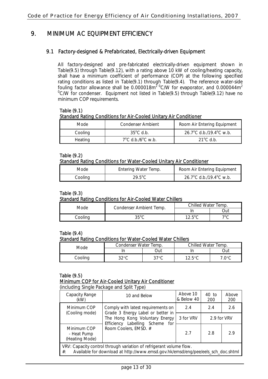## 9. MINIMUM AC EQUIPMENT EFFICIENCY

## 9.1 Factory-designed & Prefabricated, Electrically-driven Equipment

All factory-designed and pre-fabricated electrically-driven equipment shown in Table(9.5) through Table(9.12), with a rating above 10 kW of cooling/heating capacity, shall have a minimum coefficient of performance (COP) at the following specified rating conditions as listed in Table(9.1) through Table(9.4). The reference water-side fouling factor allowance shall be  $0.000018m^2$ <sup>o</sup>C/W for evaporator, and  $0.000044m^2$ <sup>0</sup>C/W for condenser. Equipment not listed in Table(9.5) through Table(9.12) have no minimum COP requirements.

Table (9.1) Standard Rating Conditions for Air-Cooled Unitary Air Conditioner

| Mode.   | Condenser Ambient                      | Room Air Entering Equipment |
|---------|----------------------------------------|-----------------------------|
| Cooling | $35^{\circ}$ C d.b.                    | 26.7°C d.b./19.4°C w.b.     |
| Heating | $7^{\circ}$ C d.b./6 $^{\circ}$ C w.b. | $21^{\circ}$ C d h          |

## Table (9.2)

## Standard Rating Conditions for Water-Cooled Unitary Air Conditioner

| Mode    | Entering Water Temp. | Room Air Entering Equipment |
|---------|----------------------|-----------------------------|
| Cooling | 29.5°C               | 26.7°C d.b./19.4°C w.b.     |

## Table (9.3)

## Standard Rating Conditions for Air-Cooled Water Chillers

| Mode    | Condenser Ambient Temp. | Chilled Water Temp. |            |
|---------|-------------------------|---------------------|------------|
|         |                         |                     | )ut        |
| oolina: | $35^{\circ}$ C          | $12.5^{\circ}$ C    | $70\sigma$ |

#### Table (9.4) Standard Rating Conditions for Water-Cooled Water Chillers

| Mode    | Condenser Water Temp. |      | Chilled Water Temp. |              |
|---------|-----------------------|------|---------------------|--------------|
|         |                       | )ut  |                     | Dut          |
| `oolina | າາວ $\epsilon$        | 2700 | 17 50C              | $\sqrt{100}$ |

## Table (9.5) Minimum COP for Air-Cooled Unitary Air Conditioner

(including Single Package and Split Type)

|                                                                                                                                                                   | $\cdot$                                                                 |                        |                |              |
|-------------------------------------------------------------------------------------------------------------------------------------------------------------------|-------------------------------------------------------------------------|------------------------|----------------|--------------|
| Capacity Range<br>(kW)                                                                                                                                            | 10 and Below                                                            | Above 10<br>& Below 40 | $40$ to<br>200 | Above<br>200 |
| Minimum COP<br>(Cooling mode)                                                                                                                                     | Comply with latest requirements on<br>Grade 3 Energy Label or better in | 2.4                    | 2.4            | 2.6          |
|                                                                                                                                                                   | The Hong Kong Voluntary Energy<br>Efficiency Labelling Scheme for       | 3 for VRV              | 2.9 for VRV    |              |
| Minimum COP<br>- Heat Pump<br>(Heating Mode)                                                                                                                      | Room Coolers, EMSD. #                                                   | 27                     | 2.8            | 29           |
| VRV: Capacity control through variation of refrigerant volume flow.<br>Available for download at http://www.emsd.gov.hk/emsd/eng/pee/eels_sch_doc.shtml<br>$\#$ : |                                                                         |                        |                |              |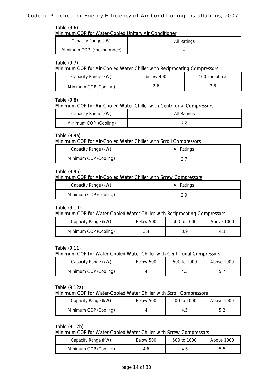## Code of Practice for Energy Efficiency of Air Conditioning Installations, 2007

## Table (9.6)

Minimum COP for Water-Cooled Unitary Air Conditioner

| Capacity Range (kW)        | All Ratings |
|----------------------------|-------------|
| Minimum COP (cooling mode) |             |

## Table (9.7)

#### Minimum COP for Air-Cooled Water Chiller with Reciprocating Compressors

| Capacity Range (kW)   | below 400 | 400 and above |
|-----------------------|-----------|---------------|
| Minimum COP (Cooling) |           |               |

## Table (9.8)

## Minimum COP for Air-Cooled Water Chiller with Centrifugal Compressors

| Capacity Range (kW)   | All Ratings |
|-----------------------|-------------|
| Minimum COP (Cooling) |             |

## Table (9.9a)

Minimum COP for Air-Cooled Water Chiller with Scroll Compressors

| Capacity Range (kW)   | All Ratings |
|-----------------------|-------------|
| Minimum COP (Cooling) |             |

## Table (9.9b)

## Minimum COP for Air-Cooled Water Chiller with Screw Compressors

| Capacity Range (kW)   | All Ratings |
|-----------------------|-------------|
| Minimum COP (Cooling) |             |

## Table (9.10)

## Minimum COP for Water-Cooled Water Chiller with Reciprocating Compressors

| Capacity Range (kW)   | Below 500 | 500 to 1000 | Above 1000 |
|-----------------------|-----------|-------------|------------|
| Minimum COP (Cooling) |           |             | 4.         |

## Table (9.11)

## Minimum COP for Water-Cooled Water Chiller with Centrifugal Compressors

| Capacity Range (kW)   | Below 500 | 500 to 1000 | Above 1000 |
|-----------------------|-----------|-------------|------------|
| Minimum COP (Cooling) |           |             |            |

## Table (9.12a)

## Minimum COP for Water-Cooled Water Chiller with Scroll Compressors

| Capacity Range (kW)   | Below 500 | 500 to 1000 | Above 1000 |
|-----------------------|-----------|-------------|------------|
| Minimum COP (Cooling) |           |             |            |

## Table (9.12b)

## Minimum COP for Water-Cooled Water Chiller with Screw Compressors

| Capacity Range (kW)   | Below 500 | 500 to 1000 | Above 1000 |
|-----------------------|-----------|-------------|------------|
| Minimum COP (Cooling) |           |             |            |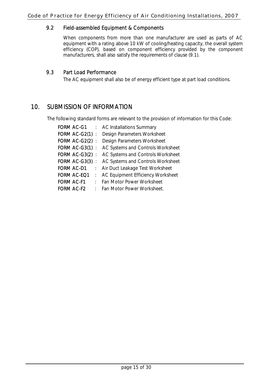## 9.2 Field-assembled Equipment & Components

 When components from more than one manufacturer are used as parts of AC equipment with a rating above 10 kW of cooling/heating capacity, the overall system efficiency (COP), based on component efficiency provided by the component manufacturers, shall also satisfy the requirements of clause (9.1).

## 9.3 Part Load Performance

The AC equipment shall also be of energy efficient type at part load conditions.

## 10. SUBMISSION OF INFORMATION

The following standard forms are relevant to the provision of information for this Code:

| <b>FORM AC-G1</b>  | $\mathbb{R}^{\mathbb{Z}}$ | <b>AC Installations Summary</b>   |
|--------------------|---------------------------|-----------------------------------|
| FORM AC-G2(1)      | $\ddot{\phantom{a}}$      | Design Parameters Worksheet       |
| FORM AC-G2(2):     |                           | Design Parameters Worksheet       |
| FORM AC-G3(1):     |                           | AC Systems and Controls Worksheet |
| FORM AC-G3 $(2)$ : |                           | AC Systems and Controls Worksheet |
| FORM AC-G3(3)      | $\cdot$                   | AC Systems and Controls Worksheet |
| <b>FORM AC-D1</b>  | ÷.                        | Air Duct Leakage Test Worksheet   |
| <b>FORM AC-EQ1</b> |                           | AC Equipment Efficiency Worksheet |
| <b>FORM AC-F1</b>  | $\sim$                    | Fan Motor Power Worksheet         |
| <b>FORM AC-F2</b>  | ٠                         | <b>Fan Motor Power Worksheet.</b> |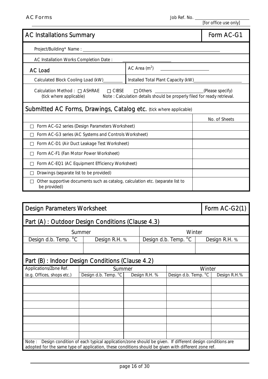| <b>AC Installations Summary</b>                                                                                                     |                                     | Form AC-G1       |
|-------------------------------------------------------------------------------------------------------------------------------------|-------------------------------------|------------------|
| Project/Building* Name: _______                                                                                                     |                                     |                  |
| AC Installation Works Completion Date:                                                                                              |                                     |                  |
| <b>AC Load</b>                                                                                                                      | AC Area $(m2)$                      |                  |
| Calculated Block Cooling Load (kW)_____                                                                                             | Installed Total Plant Capacity (kW) |                  |
| Calculation Method: ASHRAE CIBSE<br>(tick where applicable) Note: Calculation details should be properly filed for ready retrieval. | Others                              | (Please specify) |
| Submitted AC Forms, Drawings, Catalog etc. (tick where applicable)                                                                  |                                     |                  |
|                                                                                                                                     |                                     | No. of Sheets    |
| Form AC-G2 series (Design Parameters Worksheet)                                                                                     |                                     |                  |
| Form AC-G3 series (AC Systems and Controls Worksheet)                                                                               |                                     |                  |
| Form AC-D1 (Air Duct Leakage Test Worksheet)                                                                                        |                                     |                  |
| Form AC-F1 (Fan Motor Power Worksheet)                                                                                              |                                     |                  |
| Form AC-EQ1 (AC Equipment Efficiency Worksheet)                                                                                     |                                     |                  |
| Drawings (separate list to be provided)                                                                                             |                                     |                  |
| Other supportive documents such as catalog, calculation etc. (separate list to<br>be provided)                                      |                                     |                  |

| <b>Design Parameters Worksheet</b>                                                                                                                                                                                    |                      |  |               |                      |  | Form AC-G2(1) |  |
|-----------------------------------------------------------------------------------------------------------------------------------------------------------------------------------------------------------------------|----------------------|--|---------------|----------------------|--|---------------|--|
| Part (A) : Outdoor Design Conditions (Clause 4.3)                                                                                                                                                                     |                      |  |               |                      |  |               |  |
| Winter<br>Summer                                                                                                                                                                                                      |                      |  |               |                      |  |               |  |
| Design d.b. Temp. <sup>o</sup> C                                                                                                                                                                                      | Design R.H. %        |  |               | Design d.b. Temp. °C |  | Design R.H. % |  |
|                                                                                                                                                                                                                       |                      |  |               |                      |  |               |  |
| Part (B) : Indoor Design Conditions (Clause 4.2)                                                                                                                                                                      |                      |  |               |                      |  |               |  |
| Applications/Zone Ref.                                                                                                                                                                                                | Summer               |  |               |                      |  | Winter        |  |
| (e.g. Offices, shops etc.)                                                                                                                                                                                            | Design d.b. Temp. °C |  | Design R.H. % | Design d.b. Temp. °C |  | Design R.H.%  |  |
|                                                                                                                                                                                                                       |                      |  |               |                      |  |               |  |
|                                                                                                                                                                                                                       |                      |  |               |                      |  |               |  |
|                                                                                                                                                                                                                       |                      |  |               |                      |  |               |  |
|                                                                                                                                                                                                                       |                      |  |               |                      |  |               |  |
|                                                                                                                                                                                                                       |                      |  |               |                      |  |               |  |
|                                                                                                                                                                                                                       |                      |  |               |                      |  |               |  |
|                                                                                                                                                                                                                       |                      |  |               |                      |  |               |  |
|                                                                                                                                                                                                                       |                      |  |               |                      |  |               |  |
| Design condition of each typical application/zone should be given. If different design conditions are<br>Note:<br>adopted for the same type of application, these conditions should be given with different zone ref. |                      |  |               |                      |  |               |  |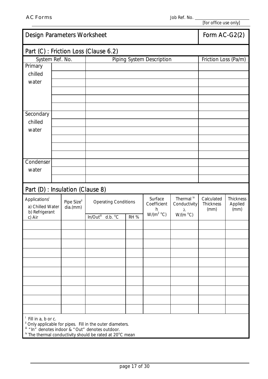| <b>Design Parameters Worksheet</b>    |  |             |                             |  |      | Form AC-G2(2)             |                       |                      |                 |
|---------------------------------------|--|-------------|-----------------------------|--|------|---------------------------|-----------------------|----------------------|-----------------|
| Part (C) : Friction Loss (Clause 6.2) |  |             |                             |  |      |                           |                       |                      |                 |
| System Ref. No.                       |  |             |                             |  |      | Piping System Description |                       | Friction Loss (Pa/m) |                 |
| Primary                               |  |             |                             |  |      |                           |                       |                      |                 |
| chilled                               |  |             |                             |  |      |                           |                       |                      |                 |
| water                                 |  |             |                             |  |      |                           |                       |                      |                 |
|                                       |  |             |                             |  |      |                           |                       |                      |                 |
|                                       |  |             |                             |  |      |                           |                       |                      |                 |
|                                       |  |             |                             |  |      |                           |                       |                      |                 |
| Secondary                             |  |             |                             |  |      |                           |                       |                      |                 |
| chilled                               |  |             |                             |  |      |                           |                       |                      |                 |
| water                                 |  |             |                             |  |      |                           |                       |                      |                 |
|                                       |  |             |                             |  |      |                           |                       |                      |                 |
|                                       |  |             |                             |  |      |                           |                       |                      |                 |
|                                       |  |             |                             |  |      |                           |                       |                      |                 |
| Condenser                             |  |             |                             |  |      |                           |                       |                      |                 |
| water                                 |  |             |                             |  |      |                           |                       |                      |                 |
|                                       |  |             |                             |  |      |                           |                       |                      |                 |
| Part (D) : Insulation (Clause 8)      |  |             |                             |  |      |                           |                       |                      |                 |
| Applications <sup>i</sup>             |  | Pipe Sizeli | <b>Operating Conditions</b> |  |      | Surface                   | Thermal <sup>iv</sup> | Calculated           | Thickness       |
| a) Chilled Water                      |  | dia.(mm)    |                             |  |      | Coefficient<br>h          | Conductivity<br>λ     | Thickness<br>(mm)    | Applied<br>(mm) |
| b) Refrigerant<br>c) Air              |  |             | In/Outill<br>d.b. °C        |  | RH % | $W/(m^2 °C)$              | $W/(m^oC)$            |                      |                 |
|                                       |  |             |                             |  |      |                           |                       |                      |                 |
|                                       |  |             |                             |  |      |                           |                       |                      |                 |
|                                       |  |             |                             |  |      |                           |                       |                      |                 |
|                                       |  |             |                             |  |      |                           |                       |                      |                 |
|                                       |  |             |                             |  |      |                           |                       |                      |                 |
|                                       |  |             |                             |  |      |                           |                       |                      |                 |
|                                       |  |             |                             |  |      |                           |                       |                      |                 |
|                                       |  |             |                             |  |      |                           |                       |                      |                 |
|                                       |  |             |                             |  |      |                           |                       |                      |                 |
|                                       |  |             |                             |  |      |                           |                       |                      |                 |
|                                       |  |             |                             |  |      |                           |                       |                      |                 |
| <sup>i</sup> Fill in a, b or c.       |  |             |                             |  |      |                           |                       |                      |                 |

<sup>ii</sup> Only applicable for pipes. Fill in the outer diameters.

iii "In" denotes indoor & "Out" denotes outdoor.

 $\mu$ <sup>iv</sup> The thermal conductivity should be rated at 20 $\rm ^oC$  mean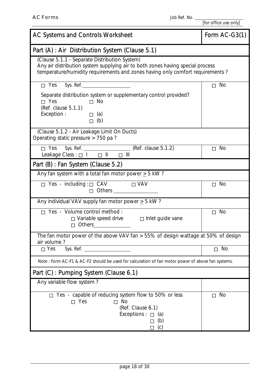| AC Systems and Controls Worksheet                                                                                                                                                                                                                                     | Form AC-G3(1) |  |  |  |
|-----------------------------------------------------------------------------------------------------------------------------------------------------------------------------------------------------------------------------------------------------------------------|---------------|--|--|--|
| Part (A) : Air Distribution System (Clause 5.1)                                                                                                                                                                                                                       |               |  |  |  |
| (Clause 5.1.1 - Separate Distribution System)<br>Any air distribution system supplying air to both zones having special process<br>temperature/humidity requirements and zones having only comfort requirements?                                                      |               |  |  |  |
| Sys. Ref.<br>Yes                                                                                                                                                                                                                                                      | <b>No</b>     |  |  |  |
| Separate distribution system or supplementary control provided?<br>Yes<br>No<br>(Ref. clause 5.1.1)<br>Exception :<br>(a)<br>(b)                                                                                                                                      |               |  |  |  |
| (Clause 5.1.2 - Air Leakage Limit On Ducts)<br>Operating static pressure > 750 pa?                                                                                                                                                                                    |               |  |  |  |
| Yes Sys. Ref. <u>Call Containing</u> (Ref. clause 5.1.2)<br>Leakage Class : $\overline{1}$ II III                                                                                                                                                                     | <b>No</b>     |  |  |  |
| Part (B) : Fan System (Clause 5.2)                                                                                                                                                                                                                                    |               |  |  |  |
| Any fan system with a total fan motor power $\geq$ 5 kW?                                                                                                                                                                                                              |               |  |  |  |
| Yes - including : CAV<br><b>VAV</b><br>Others and the control of the control of the control of the control of the control of the control of the control of the control of the control of the control of the control of the control of the control of the control of t | <b>No</b>     |  |  |  |
| Any individual VAV supply fan motor power $\geq$ 5 kW?                                                                                                                                                                                                                |               |  |  |  |
| Yes - Volume control method :<br>Variable speed drive<br>Inlet guide vane                                                                                                                                                                                             | <b>No</b>     |  |  |  |
| The fan motor power of the above VAV fan > 55% of design wattage at 50% of design<br>air volume?                                                                                                                                                                      |               |  |  |  |
| Sys. Ref.<br>Yes                                                                                                                                                                                                                                                      | <b>No</b>     |  |  |  |
| Note: Form AC-F1 & AC-F2 should be used for calculation of fan motor power of above fan systems.                                                                                                                                                                      |               |  |  |  |
| Part (C) : Pumping System (Clause 6.1)                                                                                                                                                                                                                                |               |  |  |  |
| Any variable flow system?                                                                                                                                                                                                                                             |               |  |  |  |
| Yes - capable of reducing system flow to 50% or less<br>Yes<br><b>No</b><br>(Ref. Clause 6.1)<br>Exceptions:<br>(a)<br>(b)<br>(c)                                                                                                                                     | <b>No</b>     |  |  |  |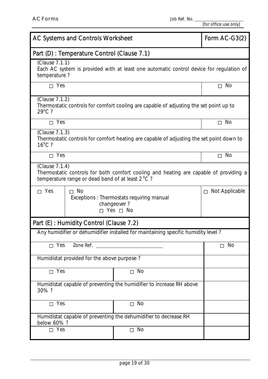| AC Systems and Controls Worksheet                                                                                                                           | Form AC-G3(2)                                                                                                             |                                                                                          |           |  |  |
|-------------------------------------------------------------------------------------------------------------------------------------------------------------|---------------------------------------------------------------------------------------------------------------------------|------------------------------------------------------------------------------------------|-----------|--|--|
|                                                                                                                                                             | Part (D) : Temperature Control (Clause 7.1)                                                                               |                                                                                          |           |  |  |
|                                                                                                                                                             | (Clause 7.1.1)<br>Each AC system is provided with at least one automatic control device for regulation of<br>temperature? |                                                                                          |           |  |  |
| Yes                                                                                                                                                         |                                                                                                                           |                                                                                          | <b>No</b> |  |  |
| (Clause 7.1.2)<br>$29^{\circ}$ C?                                                                                                                           |                                                                                                                           | Thermostatic controls for comfort cooling are capable of adjusting the set point up to   |           |  |  |
| Yes                                                                                                                                                         |                                                                                                                           |                                                                                          | <b>No</b> |  |  |
| (Clause 7.1.3)<br>$16^{\circ}$ C?                                                                                                                           |                                                                                                                           | Thermostatic controls for comfort heating are capable of adjusting the set point down to |           |  |  |
| Yes                                                                                                                                                         |                                                                                                                           |                                                                                          | <b>No</b> |  |  |
| (Clause 7.1.4)<br>Thermostatic controls for both comfort cooling and heating are capable of providing a<br>temperature range or dead band of at least 2 °C? |                                                                                                                           |                                                                                          |           |  |  |
| Yes                                                                                                                                                         | Not Applicable                                                                                                            |                                                                                          |           |  |  |
| Part (E) : Humidity Control (Clause 7.2)                                                                                                                    |                                                                                                                           |                                                                                          |           |  |  |
|                                                                                                                                                             |                                                                                                                           | Any humidifier or dehumidifier installed for maintaining specific humidity level?        |           |  |  |
| Yes                                                                                                                                                         | Zone Ref.                                                                                                                 |                                                                                          | <b>No</b> |  |  |
| Humidistat provided for the above purpose?                                                                                                                  |                                                                                                                           |                                                                                          |           |  |  |
| Yes                                                                                                                                                         |                                                                                                                           |                                                                                          |           |  |  |
| Humidistat capable of preventing the humidifier to increase RH above<br>30%?                                                                                |                                                                                                                           |                                                                                          |           |  |  |
| <b>No</b><br>Yes                                                                                                                                            |                                                                                                                           |                                                                                          |           |  |  |
| Humidistat capable of preventing the dehumidifier to decrease RH<br>below 60%?                                                                              |                                                                                                                           |                                                                                          |           |  |  |
| Yes                                                                                                                                                         |                                                                                                                           |                                                                                          |           |  |  |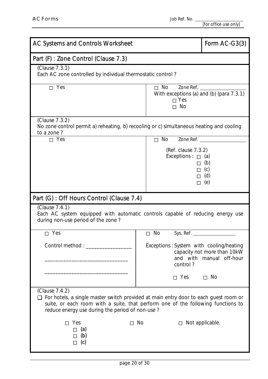| AC Systems and Controls Worksheet                                                                                                                                                                                                             | Form $AC-G3(3)$                                       |                                                         |  |  |  |
|-----------------------------------------------------------------------------------------------------------------------------------------------------------------------------------------------------------------------------------------------|-------------------------------------------------------|---------------------------------------------------------|--|--|--|
| Part (F) : Zone Control (Clause 7.3)                                                                                                                                                                                                          |                                                       |                                                         |  |  |  |
| (Clause 7.3.1)<br>Each AC zone controlled by individual thermostatic control?                                                                                                                                                                 |                                                       |                                                         |  |  |  |
| Yes                                                                                                                                                                                                                                           | Zone Ref.<br>With exceptions (a) and (b) (para 7.3.1) |                                                         |  |  |  |
| (Clause 7.3.2)<br>No zone control permit a) reheating, b) recooling or c) simultaneous heating and cooling<br>to a zone?                                                                                                                      |                                                       |                                                         |  |  |  |
| Yes                                                                                                                                                                                                                                           | <b>No</b><br>Zone Ref.                                |                                                         |  |  |  |
| (Ref. clause 7.3.2)<br>Exceptions :<br>(a)<br>(b)<br>(c)<br>(d)<br>(e)                                                                                                                                                                        |                                                       |                                                         |  |  |  |
| Part (G) : Off Hours Control (Clause 7.4)                                                                                                                                                                                                     |                                                       |                                                         |  |  |  |
| (Clause 7.4.1)<br>Each AC system equipped with automatic controls capable of reducing energy use<br>during non-use period of the zone?                                                                                                        |                                                       |                                                         |  |  |  |
| Yes                                                                                                                                                                                                                                           | No<br>Sys. Ref. $\_$                                  |                                                         |  |  |  |
| Control method: ___________                                                                                                                                                                                                                   | Exceptions: System with cooling/heating<br>control?   | capacity not more than 10kW<br>and with manual off-hour |  |  |  |
|                                                                                                                                                                                                                                               | Yes                                                   | <b>No</b>                                               |  |  |  |
| (Clause 7.4.2)<br>For hotels, a single master switch provided at main entry door to each guest room or<br>suite, or each room with a suite, that perform one of the following functions to<br>reduce energy use during the period of non-use? |                                                       |                                                         |  |  |  |
| Yes<br>(a)<br>(b)<br>(c)                                                                                                                                                                                                                      | <b>No</b>                                             | Not applicable.                                         |  |  |  |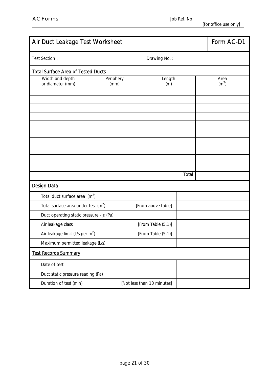| Air Duct Leakage Test Worksheet           |                   | Form AC-D1                 |       |  |                           |
|-------------------------------------------|-------------------|----------------------------|-------|--|---------------------------|
|                                           |                   |                            |       |  |                           |
| <b>Total Surface Area of Tested Ducts</b> |                   |                            |       |  |                           |
| Width and depth<br>or diameter (mm)       | Periphery<br>(mm) | Length<br>(m)              |       |  | Area<br>(m <sup>2</sup> ) |
|                                           |                   |                            |       |  |                           |
|                                           |                   |                            |       |  |                           |
|                                           |                   |                            |       |  |                           |
|                                           |                   |                            |       |  |                           |
|                                           |                   |                            |       |  |                           |
|                                           |                   |                            |       |  |                           |
|                                           |                   |                            |       |  |                           |
|                                           |                   |                            |       |  |                           |
|                                           |                   |                            | Total |  |                           |
| <b>Design Data</b>                        |                   |                            |       |  |                           |
| Total duct surface area $(m^2)$           |                   |                            |       |  |                           |
| Total surface area under test $(m2)$      |                   | [From above table]         |       |  |                           |
| Duct operating static pressure - $p$ (Pa) |                   |                            |       |  |                           |
| Air leakage class                         |                   | [From Table (5.1)]         |       |  |                           |
| Air leakage limit (L/s per $m^2$ )        |                   | [From Table (5.1)]         |       |  |                           |
| Maximum permitted leakage (L/s)           |                   |                            |       |  |                           |
| <b>Test Records Summary</b>               |                   |                            |       |  |                           |
| Date of test                              |                   |                            |       |  |                           |
| Duct static pressure reading (Pa)         |                   |                            |       |  |                           |
| Duration of test (min)                    |                   | [Not less than 10 minutes] |       |  |                           |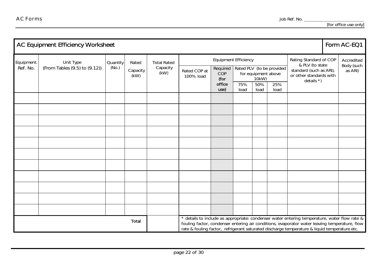|            | <b>AC Equipment Efficiency Worksheet</b> |          |                                                                                                                                                                                                                                                                                               |                    |                           |                                                                                                         |                        |                                                                     |             |                       |  | Form AC-EQ1 |
|------------|------------------------------------------|----------|-----------------------------------------------------------------------------------------------------------------------------------------------------------------------------------------------------------------------------------------------------------------------------------------------|--------------------|---------------------------|---------------------------------------------------------------------------------------------------------|------------------------|---------------------------------------------------------------------|-------------|-----------------------|--|-------------|
| Equipment. | Unit Type                                | Quantity | Rated                                                                                                                                                                                                                                                                                         | <b>Total Rated</b> |                           | Equipment Efficiency                                                                                    | Rating Standard of COP |                                                                     | Accredited  |                       |  |             |
| Ref. No.   | (From Tables (9.5) to (9.12))            | (No.)    | Capacity<br>(kW)                                                                                                                                                                                                                                                                              | Capacity<br>(kW)   | Rated COP at<br>100% load | & PLV (to state<br>Rated PLV (to be provided<br>Required<br>COP<br>for equipment above<br>10kW)<br>(for |                        | standard (such as ARI),<br>or other standards with<br>details $*$ ) |             | Body (such<br>as ARI) |  |             |
|            |                                          |          |                                                                                                                                                                                                                                                                                               |                    |                           | office<br>use)                                                                                          | 75%<br>load            | 50%<br>load                                                         | 25%<br>load |                       |  |             |
|            |                                          |          |                                                                                                                                                                                                                                                                                               |                    |                           |                                                                                                         |                        |                                                                     |             |                       |  |             |
|            |                                          |          |                                                                                                                                                                                                                                                                                               |                    |                           |                                                                                                         |                        |                                                                     |             |                       |  |             |
|            |                                          |          |                                                                                                                                                                                                                                                                                               |                    |                           |                                                                                                         |                        |                                                                     |             |                       |  |             |
|            |                                          |          |                                                                                                                                                                                                                                                                                               |                    |                           |                                                                                                         |                        |                                                                     |             |                       |  |             |
|            |                                          |          |                                                                                                                                                                                                                                                                                               |                    |                           |                                                                                                         |                        |                                                                     |             |                       |  |             |
|            |                                          |          |                                                                                                                                                                                                                                                                                               |                    |                           |                                                                                                         |                        |                                                                     |             |                       |  |             |
|            |                                          |          |                                                                                                                                                                                                                                                                                               |                    |                           |                                                                                                         |                        |                                                                     |             |                       |  |             |
|            |                                          |          |                                                                                                                                                                                                                                                                                               |                    |                           |                                                                                                         |                        |                                                                     |             |                       |  |             |
|            |                                          |          |                                                                                                                                                                                                                                                                                               |                    |                           |                                                                                                         |                        |                                                                     |             |                       |  |             |
|            |                                          |          |                                                                                                                                                                                                                                                                                               |                    |                           |                                                                                                         |                        |                                                                     |             |                       |  |             |
|            |                                          |          |                                                                                                                                                                                                                                                                                               |                    |                           |                                                                                                         |                        |                                                                     |             |                       |  |             |
|            |                                          | Total    | * details to include as appropriate: condenser water entering temperature, water flow rate &<br>fouling factor, condenser entering air conditions, evaporator water leaving temperature, flow<br>rate & fouling factor, refrigerant saturated discharge temperature & liquid temperature etc. |                    |                           |                                                                                                         |                        |                                                                     |             |                       |  |             |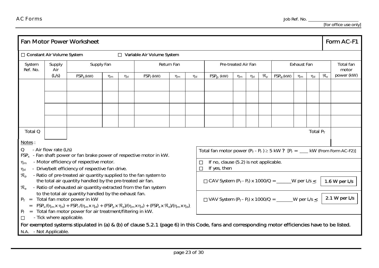|                             |                                                                                                                                                            | <b>Fan Motor Power Worksheet</b>                                                                                                                 |            |          |                            |          |          |                                                                                    |          |          |                             |                    |                                             |             |  | Form AC-F1         |
|-----------------------------|------------------------------------------------------------------------------------------------------------------------------------------------------------|--------------------------------------------------------------------------------------------------------------------------------------------------|------------|----------|----------------------------|----------|----------|------------------------------------------------------------------------------------|----------|----------|-----------------------------|--------------------|---------------------------------------------|-------------|--|--------------------|
|                             | <b>Constant Air Volume System</b>                                                                                                                          |                                                                                                                                                  |            |          | Variable Air Volume System |          |          |                                                                                    |          |          |                             |                    |                                             |             |  |                    |
| System<br>Ref. No.          | Supply<br>Air                                                                                                                                              |                                                                                                                                                  | Supply Fan |          | Return Fan                 |          |          | Pre-treated Air Fan                                                                |          |          |                             | Exhaust Fan        |                                             |             |  | Total fan<br>motor |
|                             | (L/s)                                                                                                                                                      | $FSPS$ (kW)                                                                                                                                      | $\eta_{m}$ | $\eta_d$ | $FSPr$ (kW)                | $\eta_m$ | $\eta_d$ | $FSPp$ (kW)                                                                        | $\eta_m$ | $\eta_d$ | $\mathfrak{R}_{\mathrm{D}}$ | $FSP_{\rm e}$ (kW) | $\mathfrak{R}_{\scriptscriptstyle{\Theta}}$ | power (kW)  |  |                    |
|                             |                                                                                                                                                            |                                                                                                                                                  |            |          |                            |          |          |                                                                                    |          |          |                             |                    |                                             |             |  |                    |
|                             |                                                                                                                                                            |                                                                                                                                                  |            |          |                            |          |          |                                                                                    |          |          |                             |                    |                                             |             |  |                    |
|                             |                                                                                                                                                            |                                                                                                                                                  |            |          |                            |          |          |                                                                                    |          |          |                             |                    |                                             |             |  |                    |
|                             |                                                                                                                                                            |                                                                                                                                                  |            |          |                            |          |          |                                                                                    |          |          |                             |                    |                                             |             |  |                    |
| Total Q                     |                                                                                                                                                            |                                                                                                                                                  |            |          |                            |          |          |                                                                                    |          |          |                             |                    |                                             | Total $P_T$ |  |                    |
| Notes:                      |                                                                                                                                                            |                                                                                                                                                  |            |          |                            |          |          |                                                                                    |          |          |                             |                    |                                             |             |  |                    |
| Q                           | - Air flow rate (L/s)                                                                                                                                      | $FSPx$ - Fan shaft power or fan brake power of respective motor in kW.                                                                           |            |          |                            |          |          | Total fan motor power $(P_T - P_f) \ge 5$ kW ? $[P_f =$ ____ kW (From Form AC-F2)] |          |          |                             |                    |                                             |             |  |                    |
| $\eta_m$                    |                                                                                                                                                            | - Motor efficiency of respective motor.                                                                                                          |            |          |                            |          |          | If no, clause (5.2) is not applicable.                                             |          |          |                             |                    |                                             |             |  |                    |
| $\eta_d$                    |                                                                                                                                                            | - Drive/belt efficiency of respective fan drive.                                                                                                 |            |          |                            |          |          | If yes, then                                                                       |          |          |                             |                    |                                             |             |  |                    |
| $\mathfrak{R}_{\mathrm{D}}$ |                                                                                                                                                            | - Ratio of pre-treated air quantity supplied to the fan system to<br>the total air quantity handled by the pre-treated air fan.                  |            |          |                            |          |          | CAV System $(P_T - P_f)$ x 1000/Q = ______W per L/s $\leq$                         |          |          |                             |                    |                                             |             |  | 1.6 W per $L/s$    |
| $\mathfrak{R}_{\mathrm{e}}$ |                                                                                                                                                            | - Ratio of exhausted air quantity extracted from the fan system                                                                                  |            |          |                            |          |          |                                                                                    |          |          |                             |                    |                                             |             |  |                    |
|                             | to the total air quantity handled by the exhaust fan.<br>$P_T$ = Total fan motor power in kW<br>VAV System $(P_T - P_f)$ x 1000/Q = ______W per L/s $\leq$ |                                                                                                                                                  |            |          |                            |          |          |                                                                                    |          |          | 2.1 W per $L/s$             |                    |                                             |             |  |                    |
| $\,=\,$                     |                                                                                                                                                            | $FSP_s/(\eta_m x \eta_d) + FSP_r/(\eta_m x \eta_d) + (FSP_p x \mathcal{R}_p)/(\eta_m x \eta_d) + (FSP_e x \mathcal{R}_e)/(\eta_m x \eta_d)$      |            |          |                            |          |          |                                                                                    |          |          |                             |                    |                                             |             |  |                    |
|                             | - Tick where applicable.                                                                                                                                   | $P_f$ = Total fan motor power for air treatment/filtering in kW.                                                                                 |            |          |                            |          |          |                                                                                    |          |          |                             |                    |                                             |             |  |                    |
|                             |                                                                                                                                                            | For exempted systems stipulated in (a) & (b) of clause 5.2.1 (page 6) in this Code, fans and corresponding motor efficiencies have to be listed. |            |          |                            |          |          |                                                                                    |          |          |                             |                    |                                             |             |  |                    |
| N.A. - Not Applicable.      |                                                                                                                                                            |                                                                                                                                                  |            |          |                            |          |          |                                                                                    |          |          |                             |                    |                                             |             |  |                    |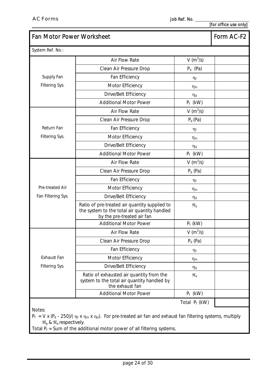| <b>Fan Motor Power Worksheet</b>                                | Form AC-F2                                                                                                                                                                                                  |                             |  |
|-----------------------------------------------------------------|-------------------------------------------------------------------------------------------------------------------------------------------------------------------------------------------------------------|-----------------------------|--|
| System Ref. No.:                                                |                                                                                                                                                                                                             |                             |  |
|                                                                 | Air Flow Rate                                                                                                                                                                                               | $V(m^3/s)$                  |  |
|                                                                 | Clean Air Pressure Drop                                                                                                                                                                                     | $P_d$ (Pa)                  |  |
| Supply Fan                                                      | Fan Efficiency                                                                                                                                                                                              | $\eta_{\text{f}}$           |  |
| Filtering Sys.                                                  | Motor Efficiency                                                                                                                                                                                            | $\eta_m$                    |  |
|                                                                 | Drive/Belt Efficiency                                                                                                                                                                                       | $\eta_d$                    |  |
|                                                                 | <b>Additional Motor Power</b>                                                                                                                                                                               | $P_f$ (kW)                  |  |
|                                                                 | Air Flow Rate                                                                                                                                                                                               | $V(m^3/s)$                  |  |
|                                                                 | Clean Air Pressure Drop                                                                                                                                                                                     | $P_d$ (Pa)                  |  |
| Return Fan                                                      | Fan Efficiency                                                                                                                                                                                              | $\eta_f$                    |  |
| Filtering Sys.                                                  | Motor Efficiency                                                                                                                                                                                            | $\eta_m$                    |  |
|                                                                 | Drive/Belt Efficiency                                                                                                                                                                                       | $\eta_d$                    |  |
|                                                                 | <b>Additional Motor Power</b>                                                                                                                                                                               | $P_f$ (kW)                  |  |
|                                                                 | Air Flow Rate                                                                                                                                                                                               | $V(m^3/s)$                  |  |
|                                                                 | Clean Air Pressure Drop                                                                                                                                                                                     | $P_d$ (Pa)                  |  |
|                                                                 | Fan Efficiency                                                                                                                                                                                              | $\eta_{\text{f}}$           |  |
| Pre-treated Air                                                 | Motor Efficiency                                                                                                                                                                                            | $\eta_m$                    |  |
| Fan Filtering Sys.                                              | Drive/Belt Efficiency                                                                                                                                                                                       | $\eta_d$                    |  |
|                                                                 | Ratio of pre-treated air quantity supplied to<br>the system to the total air quantity handled<br>by the pre-treated air fan                                                                                 | $\mathfrak{R}_{p}$          |  |
|                                                                 | <b>Additional Motor Power</b>                                                                                                                                                                               | $P_f$ (kW)                  |  |
|                                                                 | Air Flow Rate                                                                                                                                                                                               | V ( $m^3/s$ )               |  |
|                                                                 | Clean Air Pressure Drop                                                                                                                                                                                     | $P_d$ (Pa)                  |  |
|                                                                 | Fan Efficiency                                                                                                                                                                                              | $\eta_f$                    |  |
| Exhaust Fan                                                     | Motor Efficiency                                                                                                                                                                                            | $\eta_m$                    |  |
| Filtering Sys.                                                  | Drive/Belt Efficiency                                                                                                                                                                                       | $\eta_d$                    |  |
|                                                                 | Ratio of exhausted air quantity from the<br>system to the total air quantity handled by<br>the exhaust fan                                                                                                  | $\mathfrak{R}_{\mathrm{e}}$ |  |
|                                                                 | <b>Additional Motor Power</b>                                                                                                                                                                               | $P_f$ (kW)                  |  |
| Notes:<br>$\mathfrak{R}_{p}$ & $\mathfrak{R}_{e}$ respectively. | $P_f = V \times (P_d - 250)/(n_f \times n_m \times n_d)$ . For pre-treated air fan and exhaust fan filtering systems, multiply<br>Total $P_f$ = Sum of the additional motor power of all filtering systems. | Total $P_f$ (kW)            |  |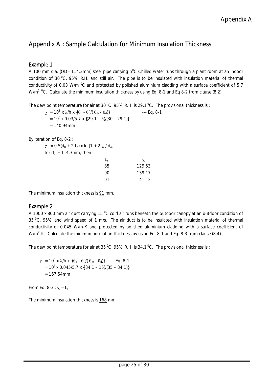## Appendix A : Sample Calculation for Minimum Insulation Thickness

## Example 1

A 100 mm dia. (OD= 114.3mm) steel pipe carrying  $5^0$ C Chilled water runs through a plant room at an indoor condition of 30  $^{\circ}$ C, 95% R.H. and still air. The pipe is to be insulated with insulation material of thermal conductivity of 0.03 W/m  $^{0}$ C and protected by polished aluminium cladding with a surface coefficient of 5.7 W/m<sup>2 o</sup>C. Calculate the minimum insulation thickness by using Eq. 8-1 and Eq 8-2 from clause (8.2).

The dew point temperature for air at 30  $^{\circ}$ C, 95% R.H. is 29.1  $^{\circ}$ C. The provisional thickness is :

 $\chi$  = 10<sup>3</sup> x  $\lambda$ /h x {( $\theta$ <sub>d</sub> -  $\theta$ <sub>l</sub>)/( $\theta$ <sub>m</sub> -  $\theta$ <sub>d</sub>)} --- Eq. 8-1  $= 10<sup>3</sup>$  x 0.03/5.7 x {(29.1 – 5)/(30 – 29.1)}  $= 140.94$ mm

By iteration of Eq. 8-2 :

 $\chi$  = 0.5(d<sub>0</sub> + 2 L<sub>a</sub>) x ln [1 + 2L<sub>a</sub> / d<sub>o</sub>] for  $d_0 = 114.3$ mm, then :  $\mathsf{L}_{\mathsf{a}}$   $\qquad \qquad \mathsf{\chi}$ 

| ⊷  | Λ.     |
|----|--------|
| 85 | 129.53 |
| 90 | 139.17 |
| 91 | 141.12 |

The minimum insulation thickness is  $91$  mm.

## Example 2

A 1000 x 800 mm air duct carrying 15  $^{0}$ C cold air runs beneath the outdoor canopy at an outdoor condition of 35  $^{\circ}$ C, 95% and wind speed of 1 m/s. The air duct is to be insulated with insulation material of thermal conductivity of 0.045 W/m-K and protected by polished aluminium cladding with a surface coefficient of W/m<sup>2</sup> K. Calculate the minimum insulation thickness by using Eq. 8-1 and Eq. 8-3 from clause (8.4).

The dew point temperature for air at 35  $^{\circ}$ C, 95% R.H. is 34.1  $^{\circ}$ C. The provisional thickness is :

 $\chi$  = 10<sup>3</sup> x λ/h x {(θ<sub>d</sub> - θ<sub>l</sub>)/( θ<sub>m</sub> - θ<sub>d</sub>)} --- Eq. 8-1  $= 10<sup>3</sup>$  x 0.045/5.7 x {(34.1 – 15)/(35 – 34.1)}  $= 167.54$ mm

From Eq. 8-3 :  $\chi = L_a$ 

The minimum insulation thickness is 168 mm.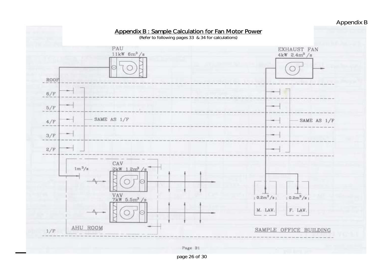## Appendix B



page 26 of 30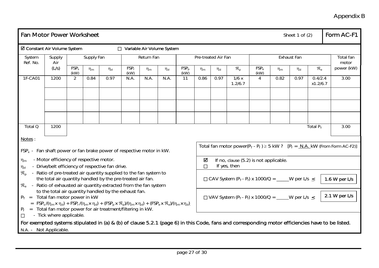# Appendix B

| <b>Fan Motor Power Worksheet</b><br>Sheet 1 of $(2)$                                                                                                                                                                                                                                                                       |                                                                                                                                                                                                    |                          |            |            |                 |          |                            |                          |          |               |                                                          | Form AC-F1               |          |                    |                             |                                                                                                                                                  |
|----------------------------------------------------------------------------------------------------------------------------------------------------------------------------------------------------------------------------------------------------------------------------------------------------------------------------|----------------------------------------------------------------------------------------------------------------------------------------------------------------------------------------------------|--------------------------|------------|------------|-----------------|----------|----------------------------|--------------------------|----------|---------------|----------------------------------------------------------|--------------------------|----------|--------------------|-----------------------------|--------------------------------------------------------------------------------------------------------------------------------------------------|
| <b>Ø Constant Air Volume System</b>                                                                                                                                                                                                                                                                                        |                                                                                                                                                                                                    |                          |            |            |                 |          | Variable Air Volume System |                          |          |               |                                                          |                          |          |                    |                             |                                                                                                                                                  |
| System<br>Ref. No.                                                                                                                                                                                                                                                                                                         | Supply<br>Air                                                                                                                                                                                      |                          | Supply Fan | Return Fan |                 |          | Pre-treated Air Fan        |                          |          |               |                                                          | Exhaust Fan              |          | Total fan<br>motor |                             |                                                                                                                                                  |
|                                                                                                                                                                                                                                                                                                                            | (L/s)                                                                                                                                                                                              | FSP <sub>s</sub><br>(kW) | $\eta_m$   | $\eta_d$   | $FSP_r$<br>(kW) | $\eta_m$ | $\eta_d$                   | FSP <sub>p</sub><br>(kW) | $\eta_m$ | $\eta_d$      | $\mathfrak{R}_{p}$                                       | FSP <sub>e</sub><br>(kW) | $\eta_m$ | $\eta_d$           | $\mathfrak{R}_{\mathrm{e}}$ | power (kW)                                                                                                                                       |
| 1F-CA01                                                                                                                                                                                                                                                                                                                    | 1200                                                                                                                                                                                               | $\overline{2}$           | 0.84       | 0.97       | N.A.            | N.A.     | N.A.                       | 11                       | 0.86     | 0.97          | 1/6x<br>1.2/6.7                                          | $\overline{4}$           | 0.82     | 0.97               | 0.4/2.4<br>x1.2/6.7         | 3.00                                                                                                                                             |
|                                                                                                                                                                                                                                                                                                                            |                                                                                                                                                                                                    |                          |            |            |                 |          |                            |                          |          |               |                                                          |                          |          |                    |                             |                                                                                                                                                  |
|                                                                                                                                                                                                                                                                                                                            |                                                                                                                                                                                                    |                          |            |            |                 |          |                            |                          |          |               |                                                          |                          |          |                    |                             |                                                                                                                                                  |
| Total Q                                                                                                                                                                                                                                                                                                                    | 1200                                                                                                                                                                                               |                          |            |            |                 |          |                            |                          |          |               |                                                          |                          |          |                    | Total $P_T$                 | 3.00                                                                                                                                             |
| Notes:<br>$FSPx$ - Fan shaft power or fan brake power of respective motor in kW.                                                                                                                                                                                                                                           |                                                                                                                                                                                                    |                          |            |            |                 |          |                            |                          |          |               |                                                          |                          |          |                    |                             | Total fan motor power( $P_T - P_f$ ) $\geq 5$ kW ? [ $P_f = N.A.$ kW (From Form AC-F2)]                                                          |
| $\eta_m$<br>$\eta_d$                                                                                                                                                                                                                                                                                                       | - Motor efficiency of respective motor.<br>- Drive/belt efficiency of respective fan drive.                                                                                                        |                          |            |            |                 |          |                            |                          | ☑        |               | If no, clause (5.2) is not applicable.<br>If yes, then   |                          |          |                    |                             |                                                                                                                                                  |
| $\mathfrak{R}_{\mathrm{D}}$<br>$\mathfrak{R}_{\scriptscriptstyle{\Theta}}$                                                                                                                                                                                                                                                 | - Ratio of pre-treated air quantity supplied to the fan system to<br>the total air quantity handled by the pre-treated air fan.<br>- Ratio of exhausted air quantity extracted from the fan system |                          |            |            |                 |          |                            |                          |          |               | CAV System $(P_T - P_f)$ x 1000/Q = ____W per L/s $\leq$ |                          |          |                    |                             | 1.6 W per $L/s$                                                                                                                                  |
| to the total air quantity handled by the exhaust fan.<br>$P_T$ = Total fan motor power in kW<br>VAV System $(P_T - P_f)$ x 1000/Q = W per L/s <<br>$=$ $FSP_s/(n_m x n_d) + FSP_r/(n_m x n_d) + (FSP_p x R_p)/(n_m x n_d) + (FSP_e x R_e)/(n_m x n_d)$<br>$P_f$ = Total fan motor power for air treatment/filtering in kW. |                                                                                                                                                                                                    |                          |            |            |                 |          |                            |                          |          | 2.1 W per L/s |                                                          |                          |          |                    |                             |                                                                                                                                                  |
| N.A. - Not Applicable.                                                                                                                                                                                                                                                                                                     | - Tick where applicable.                                                                                                                                                                           |                          |            |            |                 |          |                            |                          |          |               |                                                          |                          |          |                    |                             | For exempted systems stipulated in (a) & (b) of clause 5.2.1 (page 6) in this Code, fans and corresponding motor efficiencies have to be listed. |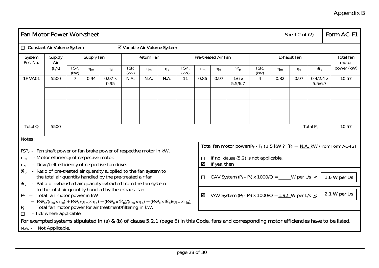# Appendix B

| Fan Motor Power Worksheet                                                        |                                         |                          |            |                                                                                                                                                                                                                                                                    |                                     |            |          |                          |          |                     |                                                           |                          |          | Sheet $2$ of $(2)$ |                             | Form AC-F1                                                                                                                                       |
|----------------------------------------------------------------------------------|-----------------------------------------|--------------------------|------------|--------------------------------------------------------------------------------------------------------------------------------------------------------------------------------------------------------------------------------------------------------------------|-------------------------------------|------------|----------|--------------------------|----------|---------------------|-----------------------------------------------------------|--------------------------|----------|--------------------|-----------------------------|--------------------------------------------------------------------------------------------------------------------------------------------------|
|                                                                                  | <b>Constant Air Volume System</b>       |                          |            |                                                                                                                                                                                                                                                                    | <b>Ø Variable Air Volume System</b> |            |          |                          |          |                     |                                                           |                          |          |                    |                             |                                                                                                                                                  |
| System<br>Ref. No.                                                               | Supply<br>Air                           |                          | Supply Fan |                                                                                                                                                                                                                                                                    |                                     | Return Fan |          |                          |          | Pre-treated Air Fan |                                                           | Exhaust Fan              |          |                    |                             | Total fan<br>motor                                                                                                                               |
|                                                                                  | (L/s)                                   | FSP <sub>s</sub><br>(kW) | $\eta_m$   | $\eta_{\mathsf{d}}$                                                                                                                                                                                                                                                | $FSP_r$<br>(kW)                     | $\eta_{m}$ | $\eta_d$ | FSP <sub>p</sub><br>(kW) | $\eta_m$ | $\eta_d$            | $\mathfrak{R}_{p}$                                        | FSP <sub>e</sub><br>(kW) | $\eta_m$ | $\eta_d$           | $\mathfrak{R}_{\mathrm{e}}$ | power (kW)                                                                                                                                       |
| 1F-VA01                                                                          | 5500                                    | $\overline{7}$           | 0.94       | 0.97 x<br>0.95                                                                                                                                                                                                                                                     | N.A.                                | N.A.       | N.A.     | 11                       | 0.86     | 0.97                | 1/6x<br>5.5/6.7                                           | $\overline{4}$           | 0.82     | 0.97               | 0.4/2.4 x<br>5.5/6.7        | 10.57                                                                                                                                            |
|                                                                                  |                                         |                          |            |                                                                                                                                                                                                                                                                    |                                     |            |          |                          |          |                     |                                                           |                          |          |                    |                             |                                                                                                                                                  |
|                                                                                  |                                         |                          |            |                                                                                                                                                                                                                                                                    |                                     |            |          |                          |          |                     |                                                           |                          |          |                    |                             |                                                                                                                                                  |
| Total Q                                                                          | 5500                                    |                          |            |                                                                                                                                                                                                                                                                    |                                     |            |          |                          |          |                     |                                                           |                          |          |                    | Total $P_T$                 | 10.57                                                                                                                                            |
| Notes:<br>$FSPx$ - Fan shaft power or fan brake power of respective motor in kW. |                                         |                          |            |                                                                                                                                                                                                                                                                    |                                     |            |          |                          |          |                     |                                                           |                          |          |                    |                             | Total fan motor power( $P_T - P_f$ ) $\geq 5$ kW ? [ $P_f = N.A.$ kW (From Form AC-F2]                                                           |
| $\eta_m$<br>$\eta_d$                                                             | - Motor efficiency of respective motor. |                          |            | - Drive/belt efficiency of respective fan drive.                                                                                                                                                                                                                   |                                     |            |          |                          | ☑        | If yes, then        | If no, clause (5.2) is not applicable.                    |                          |          |                    |                             |                                                                                                                                                  |
| $\mathfrak{R}_{n}$<br>$\mathfrak{R}_{\scriptscriptstyle\ominus}$                 |                                         |                          |            | - Ratio of pre-treated air quantity supplied to the fan system to<br>the total air quantity handled by the pre-treated air fan.<br>- Ratio of exhausted air quantity extracted from the fan system                                                                 |                                     |            |          |                          |          |                     | CAV System $(P_T - P_f)$ x 1000/Q = _____W per L/s $\leq$ |                          |          |                    |                             | 1.6 W per $L/s$                                                                                                                                  |
| $P_T$ = Total fan motor power in kW<br>$P_f$                                     |                                         |                          |            | to the total air quantity handled by the exhaust fan.<br>$=$ FSP <sub>s</sub> /( $\eta_m$ x $\eta_d$ ) + FSP <sub>r</sub> /( $\eta_m$ x $\eta_d$ ) + (FSP <sub>p</sub> x $\Re_p$ )/( $\eta_m$ x $\eta_d$ ) + (FSP <sub>e</sub> x $\Re_e$ )/( $\eta_m$ x $\eta_d$ ) |                                     |            |          |                          | ☑        |                     | VAV System $(P_T - P_f)$ x 1000/Q = 1.92 W per L/s <      |                          |          |                    |                             | 2.1 W per $L/s$                                                                                                                                  |
|                                                                                  | - Tick where applicable.                |                          |            | = Total fan motor power for air treatment/filtering in kW.                                                                                                                                                                                                         |                                     |            |          |                          |          |                     |                                                           |                          |          |                    |                             | For exempted systems stipulated in (a) & (b) of clause 5.2.1 (page 6) in this Code, fans and corresponding motor efficiencies have to be listed. |
| N.A. - Not Applicable.                                                           |                                         |                          |            |                                                                                                                                                                                                                                                                    |                                     |            |          |                          |          |                     |                                                           |                          |          |                    |                             |                                                                                                                                                  |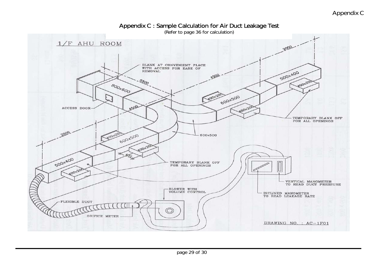Appendix C

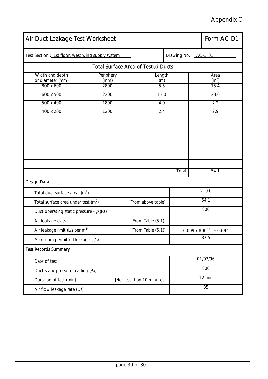| Air Duct Leakage Test Worksheet                   | Form AC-D1                                |        |                            |                           |                      |                                   |  |  |  |
|---------------------------------------------------|-------------------------------------------|--------|----------------------------|---------------------------|----------------------|-----------------------------------|--|--|--|
| Test Section : 1st floor, west wing supply system |                                           |        |                            |                           | Drawing No.: AC-1F01 |                                   |  |  |  |
|                                                   | <b>Total Surface Area of Tested Ducts</b> |        |                            |                           |                      |                                   |  |  |  |
| Width and depth<br>or diameter (mm)               | Periphery<br>(mm)                         | Length |                            | Area<br>(m <sup>2</sup> ) |                      |                                   |  |  |  |
| 800 x 600                                         | 2800                                      |        | (m)<br>5.5                 |                           |                      | 15.4                              |  |  |  |
| 600 x 500                                         | 2200                                      |        | 13.0                       |                           |                      | 28.6                              |  |  |  |
| 500 x 400                                         | 1800                                      |        | 4.0                        |                           |                      | 7.2                               |  |  |  |
| 400 x 200                                         | 1200                                      |        | 2.4                        |                           |                      | 2.9                               |  |  |  |
|                                                   |                                           |        |                            |                           |                      |                                   |  |  |  |
|                                                   |                                           |        |                            |                           |                      |                                   |  |  |  |
|                                                   |                                           |        |                            |                           |                      |                                   |  |  |  |
|                                                   |                                           |        |                            |                           |                      |                                   |  |  |  |
|                                                   |                                           |        |                            |                           |                      |                                   |  |  |  |
|                                                   |                                           |        |                            | Total                     |                      | 54.1                              |  |  |  |
| <b>Design Data</b>                                |                                           |        |                            |                           |                      |                                   |  |  |  |
| Total duct surface area $(m^2)$                   |                                           |        |                            |                           | 210.0                |                                   |  |  |  |
| Total surface area under test $(m2)$              |                                           |        | [From above table]         |                           | 54.1                 |                                   |  |  |  |
| Duct operating static pressure - $p$ (Pa)         |                                           |        |                            |                           |                      | 800                               |  |  |  |
| Air leakage class                                 |                                           |        | [From Table (5.1)]         |                           |                      | $\overline{\phantom{a}}$          |  |  |  |
| Air leakage limit (L/s per $m^2$ )                |                                           |        | [From Table (5.1)]         |                           |                      | $0.009 \times 800^{0.65} = 0.694$ |  |  |  |
| Maximum permitted leakage (L/s)                   |                                           |        |                            |                           |                      | 37.5                              |  |  |  |
| <b>Test Records Summary</b>                       |                                           |        |                            |                           |                      |                                   |  |  |  |
| Date of test                                      |                                           |        |                            |                           |                      | 01/03/96                          |  |  |  |
| Duct static pressure reading (Pa)                 |                                           |        |                            |                           | 800                  |                                   |  |  |  |
| Duration of test (min)                            |                                           |        | [Not less than 10 minutes] |                           | 12 min               |                                   |  |  |  |
|                                                   | Air flow leakage rate (L/s)               |        |                            |                           |                      |                                   |  |  |  |